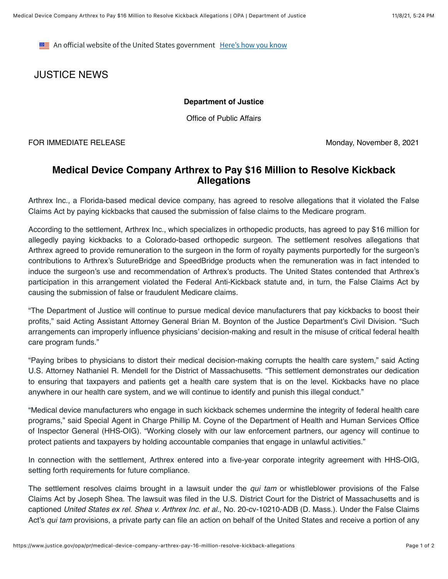**EXECUTE:** An official website of the United States government Here's how you know

## JUSTICE NEWS

## **Department of Justice**

Office of Public Affairs

FOR IMMEDIATE RELEASE Monday, November 8, 2021

## **Medical Device Company Arthrex to Pay \$16 Million to Resolve Kickback Allegations**

Arthrex Inc., a Florida-based medical device company, has agreed to resolve allegations that it violated the False Claims Act by paying kickbacks that caused the submission of false claims to the Medicare program.

According to the settlement, Arthrex Inc., which specializes in orthopedic products, has agreed to pay \$16 million for allegedly paying kickbacks to a Colorado-based orthopedic surgeon. The settlement resolves allegations that Arthrex agreed to provide remuneration to the surgeon in the form of royalty payments purportedly for the surgeon's contributions to Arthrex's SutureBridge and SpeedBridge products when the remuneration was in fact intended to induce the surgeon's use and recommendation of Arthrex's products. The United States contended that Arthrex's participation in this arrangement violated the Federal Anti-Kickback statute and, in turn, the False Claims Act by causing the submission of false or fraudulent Medicare claims.

"The Department of Justice will continue to pursue medical device manufacturers that pay kickbacks to boost their profits," said Acting Assistant Attorney General Brian M. Boynton of the Justice Department's Civil Division. "Such arrangements can improperly influence physicians' decision-making and result in the misuse of critical federal health care program funds."

"Paying bribes to physicians to distort their medical decision-making corrupts the health care system," said Acting U.S. Attorney Nathaniel R. Mendell for the District of Massachusetts. "This settlement demonstrates our dedication to ensuring that taxpayers and patients get a health care system that is on the level. Kickbacks have no place anywhere in our health care system, and we will continue to identify and punish this illegal conduct."

"Medical device manufacturers who engage in such kickback schemes undermine the integrity of federal health care programs," said Special Agent in Charge Phillip M. Coyne of the Department of Health and Human Services Office of Inspector General (HHS-OIG). "Working closely with our law enforcement partners, our agency will continue to protect patients and taxpayers by holding accountable companies that engage in unlawful activities."

In connection with the settlement, Arthrex entered into a five-year corporate integrity agreement with HHS-OIG, setting forth requirements for future compliance.

The settlement resolves claims brought in a lawsuit under the *qui tam* or whistleblower provisions of the False Claims Act by Joseph Shea. The lawsuit was filed in the U.S. District Court for the District of Massachusetts and is captioned *United States ex rel. Shea v. Arthrex Inc. et al.*, No. 20-cv-10210-ADB (D. Mass.). Under the False Claims Act's *qui tam* provisions, a private party can file an action on behalf of the United States and receive a portion of any